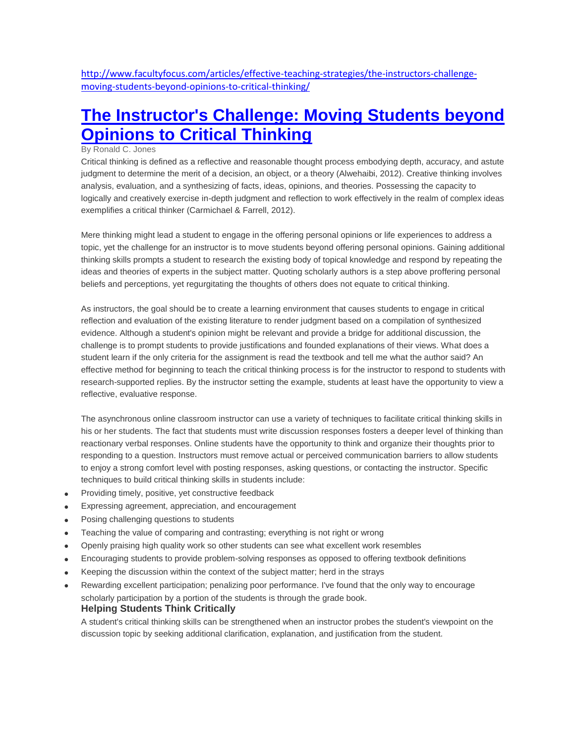[http://www.facultyfocus.com/articles/effective-teaching-strategies/the-instructors-challenge](http://www.facultyfocus.com/articles/effective-teaching-strategies/the-instructors-challenge-moving-students-beyond-opinions-to-critical-thinking/)[moving-students-beyond-opinions-to-critical-thinking/](http://www.facultyfocus.com/articles/effective-teaching-strategies/the-instructors-challenge-moving-students-beyond-opinions-to-critical-thinking/)

## **[The Instructor's Challenge: Moving Students beyond](http://www.facultyfocus.com/articles/effective-teaching-strategies/the-instructors-challenge-moving-students-beyond-opinions-to-critical-thinking/)  [Opinions to Critical Thinking](http://www.facultyfocus.com/articles/effective-teaching-strategies/the-instructors-challenge-moving-students-beyond-opinions-to-critical-thinking/)**

## By Ronald C. Jones

Critical thinking is defined as a reflective and reasonable thought process embodying depth, accuracy, and astute judgment to determine the merit of a decision, an object, or a theory (Alwehaibi, 2012). Creative thinking involves analysis, evaluation, and a synthesizing of facts, ideas, opinions, and theories. Possessing the capacity to logically and creatively exercise in-depth judgment and reflection to work effectively in the realm of complex ideas exemplifies a critical thinker (Carmichael & Farrell, 2012).

Mere thinking might lead a student to engage in the offering personal opinions or life experiences to address a topic, yet the challenge for an instructor is to move students beyond offering personal opinions. Gaining additional thinking skills prompts a student to research the existing body of topical knowledge and respond by repeating the ideas and theories of experts in the subject matter. Quoting scholarly authors is a step above proffering personal beliefs and perceptions, yet regurgitating the thoughts of others does not equate to critical thinking.

As instructors, the goal should be to create a learning environment that causes students to engage in critical reflection and evaluation of the existing literature to render judgment based on a compilation of synthesized evidence. Although a student's opinion might be relevant and provide a bridge for additional discussion, the challenge is to prompt students to provide justifications and founded explanations of their views. What does a student learn if the only criteria for the assignment is read the textbook and tell me what the author said? An effective method for beginning to teach the critical thinking process is for the instructor to respond to students with research-supported replies. By the instructor setting the example, students at least have the opportunity to view a reflective, evaluative response.

The asynchronous online classroom instructor can use a variety of techniques to facilitate critical thinking skills in his or her students. The fact that students must write discussion responses fosters a deeper level of thinking than reactionary verbal responses. Online students have the opportunity to think and organize their thoughts prior to responding to a question. Instructors must remove actual or perceived communication barriers to allow students to enjoy a strong comfort level with posting responses, asking questions, or contacting the instructor. Specific techniques to build critical thinking skills in students include:

- Providing timely, positive, yet constructive feedback
- Expressing agreement, appreciation, and encouragement
- Posing challenging questions to students
- Teaching the value of comparing and contrasting; everything is not right or wrong
- Openly praising high quality work so other students can see what excellent work resembles
- Encouraging students to provide problem-solving responses as opposed to offering textbook definitions
- Keeping the discussion within the context of the subject matter; herd in the strays
- Rewarding excellent participation; penalizing poor performance. I've found that the only way to encourage scholarly participation by a portion of the students is through the grade book.

## **Helping Students Think Critically**

A student's critical thinking skills can be strengthened when an instructor probes the student's viewpoint on the discussion topic by seeking additional clarification, explanation, and justification from the student.